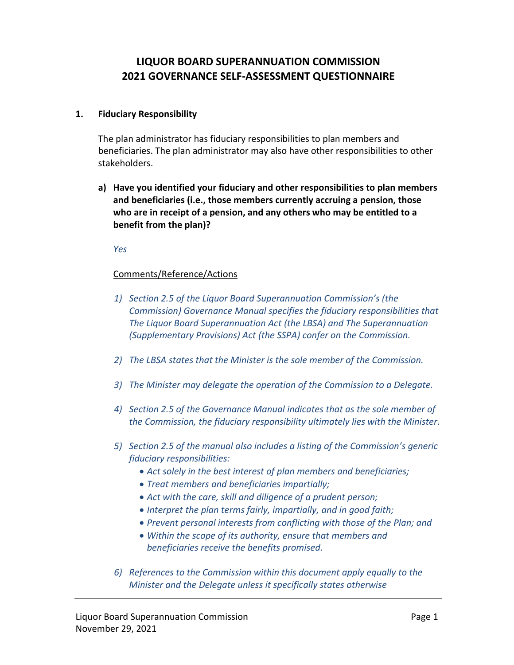# **LIQUOR BOARD SUPERANNUATION COMMISSION 2021 GOVERNANCE SELF-ASSESSMENT QUESTIONNAIRE**

### **1. Fiduciary Responsibility**

The plan administrator has fiduciary responsibilities to plan members and beneficiaries. The plan administrator may also have other responsibilities to other stakeholders.

**a) Have you identified your fiduciary and other responsibilities to plan members and beneficiaries (i.e., those members currently accruing a pension, those who are in receipt of a pension, and any others who may be entitled to a benefit from the plan)?**

*Yes*

### Comments/Reference/Actions

- *1) Section 2.5 of the Liquor Board Superannuation Commission's (the Commission) Governance Manual specifies the fiduciary responsibilities that The Liquor Board Superannuation Act (the LBSA) and The Superannuation (Supplementary Provisions) Act (the SSPA) confer on the Commission.*
- *2) The LBSA states that the Minister is the sole member of the Commission.*
- *3) The Minister may delegate the operation of the Commission to a Delegate.*
- *4) Section 2.5 of the Governance Manual indicates that as the sole member of the Commission, the fiduciary responsibility ultimately lies with the Minister.*
- *5) Section 2.5 of the manual also includes a listing of the Commission's generic fiduciary responsibilities:*
	- *Act solely in the best interest of plan members and beneficiaries;*
	- *Treat members and beneficiaries impartially;*
	- *Act with the care, skill and diligence of a prudent person;*
	- *Interpret the plan terms fairly, impartially, and in good faith;*
	- *Prevent personal interests from conflicting with those of the Plan; and*
	- *Within the scope of its authority, ensure that members and beneficiaries receive the benefits promised.*
- *6) References to the Commission within this document apply equally to the Minister and the Delegate unless it specifically states otherwise*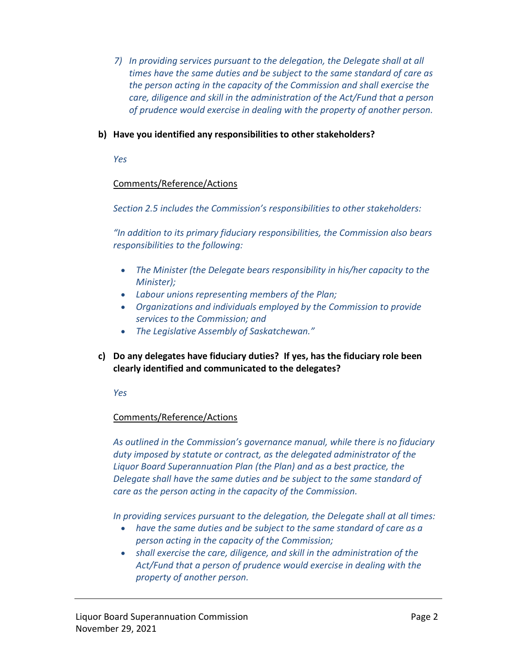*7) In providing services pursuant to the delegation, the Delegate shall at all times have the same duties and be subject to the same standard of care as the person acting in the capacity of the Commission and shall exercise the care, diligence and skill in the administration of the Act/Fund that a person of prudence would exercise in dealing with the property of another person.*

### **b) Have you identified any responsibilities to other stakeholders?**

*Yes*

### Comments/Reference/Actions

*Section 2.5 includes the Commission's responsibilities to other stakeholders:*

*"In addition to its primary fiduciary responsibilities, the Commission also bears responsibilities to the following:*

- *The Minister (the Delegate bears responsibility in his/her capacity to the Minister);*
- *Labour unions representing members of the Plan;*
- *Organizations and individuals employed by the Commission to provide services to the Commission; and*
- *The Legislative Assembly of Saskatchewan."*
- **c) Do any delegates have fiduciary duties? If yes, has the fiduciary role been clearly identified and communicated to the delegates?**

*Yes* 

## Comments/Reference/Actions

*As outlined in the Commission's governance manual, while there is no fiduciary duty imposed by statute or contract, as the delegated administrator of the Liquor Board Superannuation Plan (the Plan) and as a best practice, the Delegate shall have the same duties and be subject to the same standard of care as the person acting in the capacity of the Commission.* 

*In providing services pursuant to the delegation, the Delegate shall at all times:*

- *have the same duties and be subject to the same standard of care as a person acting in the capacity of the Commission;*
- *shall exercise the care, diligence, and skill in the administration of the Act/Fund that a person of prudence would exercise in dealing with the property of another person.*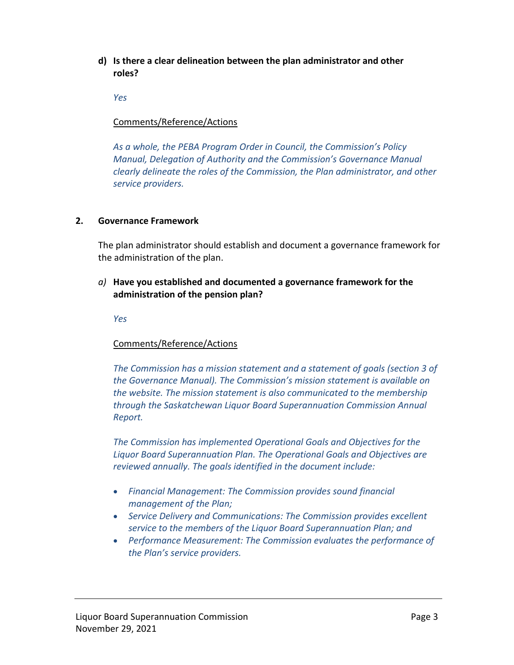**d) Is there a clear delineation between the plan administrator and other roles?**

*Yes* 

### Comments/Reference/Actions

*As a whole, the PEBA Program Order in Council, the Commission's Policy Manual, Delegation of Authority and the Commission's Governance Manual clearly delineate the roles of the Commission, the Plan administrator, and other service providers.* 

#### **2. Governance Framework**

The plan administrator should establish and document a governance framework for the administration of the plan.

## *a)* **Have you established and documented a governance framework for the administration of the pension plan?**

*Yes*

## Comments/Reference/Actions

*The Commission has a mission statement and a statement of goals (section 3 of the Governance Manual). The Commission's mission statement is available on the website. The mission statement is also communicated to the membership through the Saskatchewan Liquor Board Superannuation Commission Annual Report.*

*The Commission has implemented Operational Goals and Objectives for the Liquor Board Superannuation Plan. The Operational Goals and Objectives are reviewed annually. The goals identified in the document include:*

- *Financial Management: The Commission provides sound financial management of the Plan;*
- *Service Delivery and Communications: The Commission provides excellent service to the members of the Liquor Board Superannuation Plan; and*
- *Performance Measurement: The Commission evaluates the performance of the Plan's service providers.*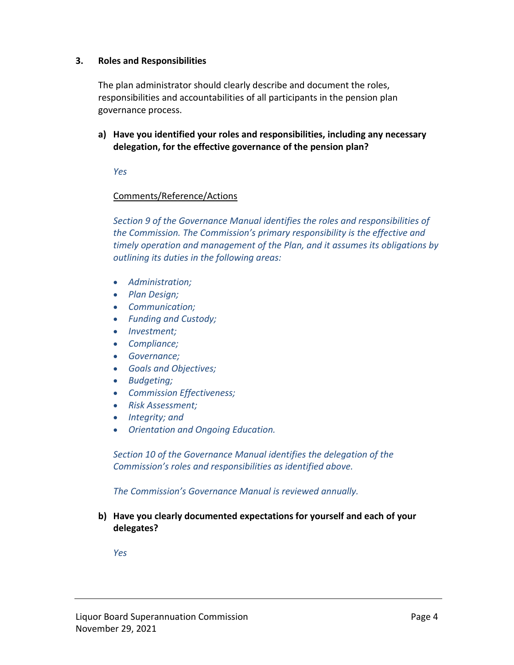#### **3. Roles and Responsibilities**

The plan administrator should clearly describe and document the roles, responsibilities and accountabilities of all participants in the pension plan governance process.

**a) Have you identified your roles and responsibilities, including any necessary delegation, for the effective governance of the pension plan?**

*Yes*

### Comments/Reference/Actions

*Section 9 of the Governance Manual identifies the roles and responsibilities of the Commission. The Commission's primary responsibility is the effective and timely operation and management of the Plan, and it assumes its obligations by outlining its duties in the following areas:*

- *Administration;*
- *Plan Design;*
- *Communication;*
- *Funding and Custody;*
- *Investment;*
- *Compliance;*
- *Governance;*
- *Goals and Objectives;*
- *Budgeting;*
- *Commission Effectiveness;*
- *Risk Assessment;*
- *Integrity; and*
- *Orientation and Ongoing Education.*

*Section 10 of the Governance Manual identifies the delegation of the Commission's roles and responsibilities as identified above.*

*The Commission's Governance Manual is reviewed annually.* 

**b) Have you clearly documented expectations for yourself and each of your delegates?**

*Yes*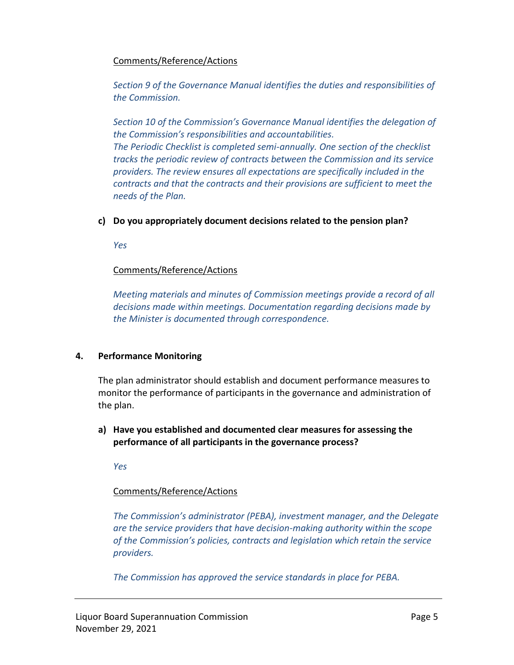### Comments/Reference/Actions

*Section 9 of the Governance Manual identifies the duties and responsibilities of the Commission.*

*Section 10 of the Commission's Governance Manual identifies the delegation of the Commission's responsibilities and accountabilities. The Periodic Checklist is completed semi-annually. One section of the checklist tracks the periodic review of contracts between the Commission and its service providers. The review ensures all expectations are specifically included in the contracts and that the contracts and their provisions are sufficient to meet the needs of the Plan.* 

## **c) Do you appropriately document decisions related to the pension plan?**

*Yes* 

## Comments/Reference/Actions

*Meeting materials and minutes of Commission meetings provide a record of all decisions made within meetings. Documentation regarding decisions made by the Minister is documented through correspondence.* 

## **4. Performance Monitoring**

The plan administrator should establish and document performance measures to monitor the performance of participants in the governance and administration of the plan.

**a) Have you established and documented clear measures for assessing the performance of all participants in the governance process?**

*Yes*

## Comments/Reference/Actions

*The Commission's administrator (PEBA), investment manager, and the Delegate are the service providers that have decision-making authority within the scope of the Commission's policies, contracts and legislation which retain the service providers.*

*The Commission has approved the service standards in place for PEBA.*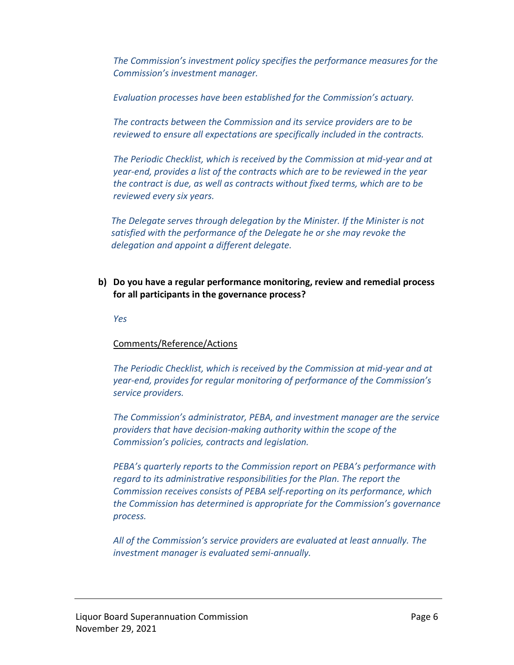*The Commission's investment policy specifies the performance measures for the Commission's investment manager.* 

*Evaluation processes have been established for the Commission's actuary.*

*The contracts between the Commission and its service providers are to be reviewed to ensure all expectations are specifically included in the contracts.* 

*The Periodic Checklist, which is received by the Commission at mid-year and at year-end, provides a list of the contracts which are to be reviewed in the year the contract is due, as well as contracts without fixed terms, which are to be reviewed every six years.*

*The Delegate serves through delegation by the Minister. If the Minister is not satisfied with the performance of the Delegate he or she may revoke the delegation and appoint a different delegate.*

## **b) Do you have a regular performance monitoring, review and remedial process for all participants in the governance process?**

*Yes*

## Comments/Reference/Actions

*The Periodic Checklist, which is received by the Commission at mid-year and at year-end, provides for regular monitoring of performance of the Commission's service providers.* 

*The Commission's administrator, PEBA, and investment manager are the service providers that have decision-making authority within the scope of the Commission's policies, contracts and legislation.*

*PEBA's quarterly reports to the Commission report on PEBA's performance with regard to its administrative responsibilities for the Plan. The report the Commission receives consists of PEBA self-reporting on its performance, which the Commission has determined is appropriate for the Commission's governance process.*

*All of the Commission's service providers are evaluated at least annually. The investment manager is evaluated semi-annually.*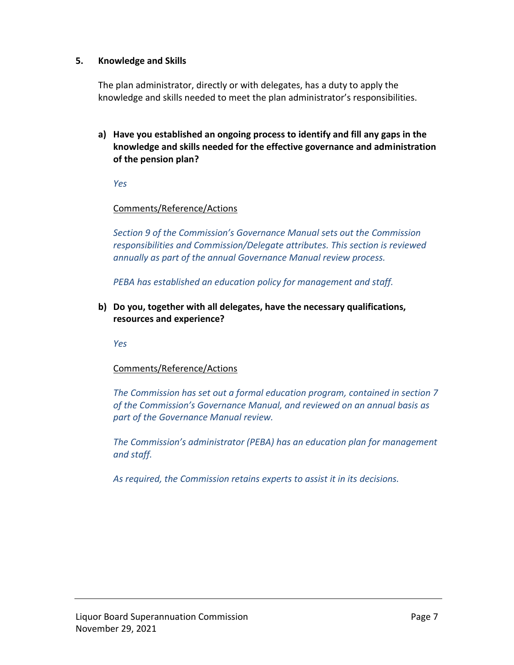### **5. Knowledge and Skills**

The plan administrator, directly or with delegates, has a duty to apply the knowledge and skills needed to meet the plan administrator's responsibilities.

**a) Have you established an ongoing process to identify and fill any gaps in the knowledge and skills needed for the effective governance and administration of the pension plan?**

*Yes*

### Comments/Reference/Actions

*Section 9 of the Commission's Governance Manual sets out the Commission responsibilities and Commission/Delegate attributes. This section is reviewed annually as part of the annual Governance Manual review process.*

*PEBA has established an education policy for management and staff.*

**b) Do you, together with all delegates, have the necessary qualifications, resources and experience?** 

*Yes*

## Comments/Reference/Actions

*The Commission has set out a formal education program, contained in section 7 of the Commission's Governance Manual, and reviewed on an annual basis as part of the Governance Manual review.*

*The Commission's administrator (PEBA) has an education plan for management and staff.*

*As required, the Commission retains experts to assist it in its decisions.*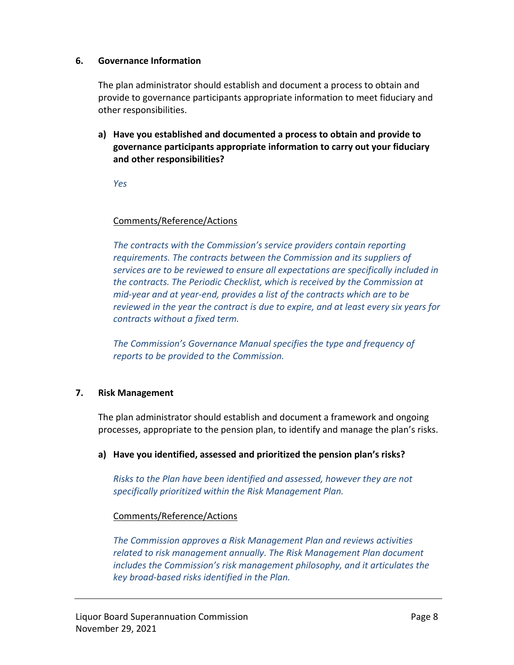#### **6. Governance Information**

The plan administrator should establish and document a process to obtain and provide to governance participants appropriate information to meet fiduciary and other responsibilities.

**a) Have you established and documented a process to obtain and provide to governance participants appropriate information to carry out your fiduciary and other responsibilities?**

*Yes*

### Comments/Reference/Actions

*The contracts with the Commission's service providers contain reporting requirements. The contracts between the Commission and its suppliers of services are to be reviewed to ensure all expectations are specifically included in the contracts. The Periodic Checklist, which is received by the Commission at mid-year and at year-end, provides a list of the contracts which are to be reviewed in the year the contract is due to expire, and at least every six years for contracts without a fixed term.* 

*The Commission's Governance Manual specifies the type and frequency of reports to be provided to the Commission.*

#### **7. Risk Management**

The plan administrator should establish and document a framework and ongoing processes, appropriate to the pension plan, to identify and manage the plan's risks.

#### **a) Have you identified, assessed and prioritized the pension plan's risks?**

*Risks to the Plan have been identified and assessed, however they are not specifically prioritized within the Risk Management Plan.*

#### Comments/Reference/Actions

*The Commission approves a Risk Management Plan and reviews activities related to risk management annually. The Risk Management Plan document includes the Commission's risk management philosophy, and it articulates the key broad-based risks identified in the Plan.*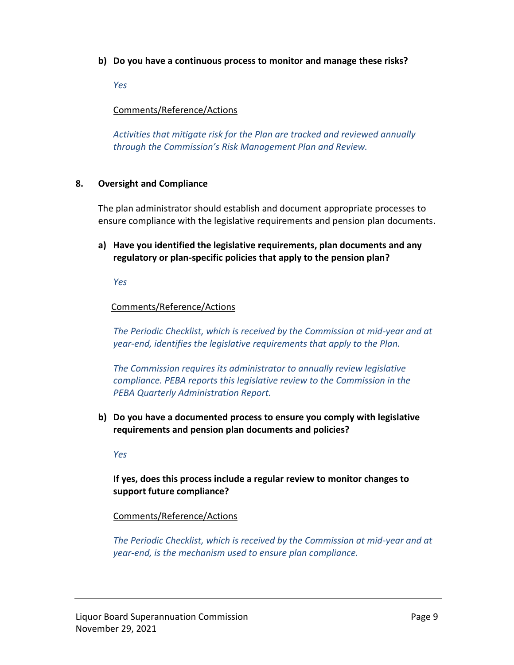**b) Do you have a continuous process to monitor and manage these risks?**

*Yes*

## Comments/Reference/Actions

*Activities that mitigate risk for the Plan are tracked and reviewed annually through the Commission's Risk Management Plan and Review.*

## **8. Oversight and Compliance**

The plan administrator should establish and document appropriate processes to ensure compliance with the legislative requirements and pension plan documents.

**a) Have you identified the legislative requirements, plan documents and any regulatory or plan-specific policies that apply to the pension plan?**

*Yes*

## Comments/Reference/Actions

*The Periodic Checklist, which is received by the Commission at mid-year and at year-end, identifies the legislative requirements that apply to the Plan.* 

*The Commission requires its administrator to annually review legislative compliance. PEBA reports this legislative review to the Commission in the PEBA Quarterly Administration Report.* 

**b) Do you have a documented process to ensure you comply with legislative requirements and pension plan documents and policies?**

*Yes*

**If yes, does this process include a regular review to monitor changes to support future compliance?**

## Comments/Reference/Actions

*The Periodic Checklist, which is received by the Commission at mid-year and at year-end, is the mechanism used to ensure plan compliance.*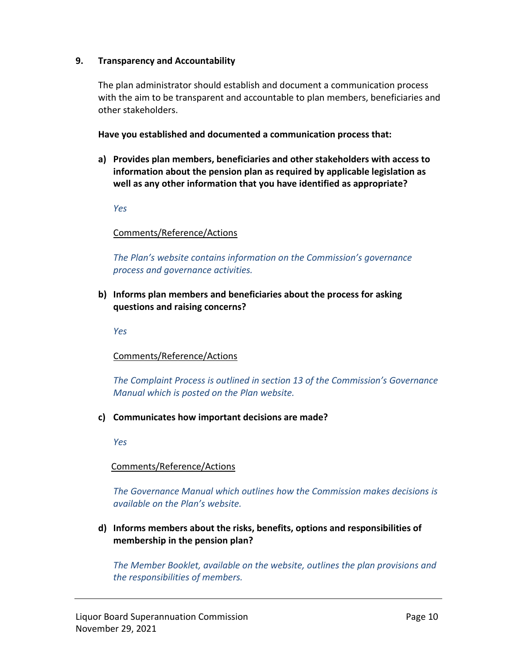#### **9. Transparency and Accountability**

The plan administrator should establish and document a communication process with the aim to be transparent and accountable to plan members, beneficiaries and other stakeholders.

**Have you established and documented a communication process that:**

**a) Provides plan members, beneficiaries and other stakeholders with access to information about the pension plan as required by applicable legislation as well as any other information that you have identified as appropriate?** 

*Yes*

## Comments/Reference/Actions

*The Plan's website contains information on the Commission's governance process and governance activities.*

**b) Informs plan members and beneficiaries about the process for asking questions and raising concerns?** 

*Yes*

## Comments/Reference/Actions

*The Complaint Process is outlined in section 13 of the Commission's Governance Manual which is posted on the Plan website.* 

**c) Communicates how important decisions are made?** 

*Yes*

## Comments/Reference/Actions

*The Governance Manual which outlines how the Commission makes decisions is available on the Plan's website.* 

**d) Informs members about the risks, benefits, options and responsibilities of membership in the pension plan?** 

*The Member Booklet, available on the website, outlines the plan provisions and the responsibilities of members.*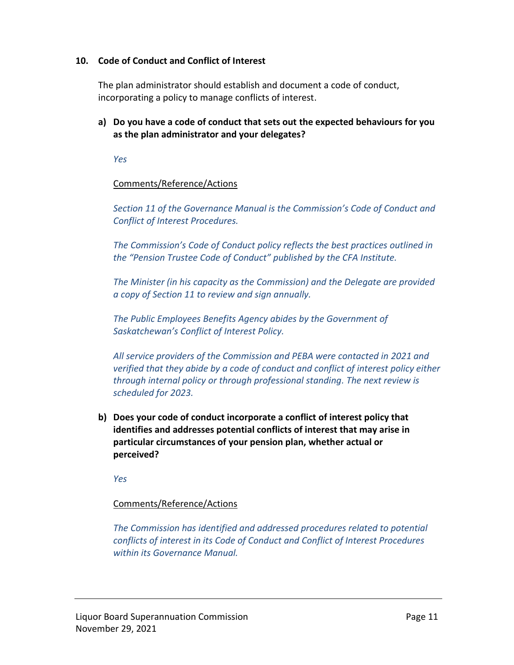### **10. Code of Conduct and Conflict of Interest**

The plan administrator should establish and document a code of conduct, incorporating a policy to manage conflicts of interest.

**a) Do you have a code of conduct that sets out the expected behaviours for you as the plan administrator and your delegates?**

*Yes*

### Comments/Reference/Actions

*Section 11 of the Governance Manual is the Commission's Code of Conduct and Conflict of Interest Procedures.* 

*The Commission's Code of Conduct policy reflects the best practices outlined in the "Pension Trustee Code of Conduct" published by the CFA Institute.*

*The Minister (in his capacity as the Commission) and the Delegate are provided a copy of Section 11 to review and sign annually.* 

*The Public Employees Benefits Agency abides by the Government of Saskatchewan's Conflict of Interest Policy.* 

*All service providers of the Commission and PEBA were contacted in 2021 and verified that they abide by a code of conduct and conflict of interest policy either through internal policy or through professional standing. The next review is scheduled for 2023.* 

**b) Does your code of conduct incorporate a conflict of interest policy that identifies and addresses potential conflicts of interest that may arise in particular circumstances of your pension plan, whether actual or perceived?** 

*Yes*

## Comments/Reference/Actions

*The Commission has identified and addressed procedures related to potential conflicts of interest in its Code of Conduct and Conflict of Interest Procedures within its Governance Manual.*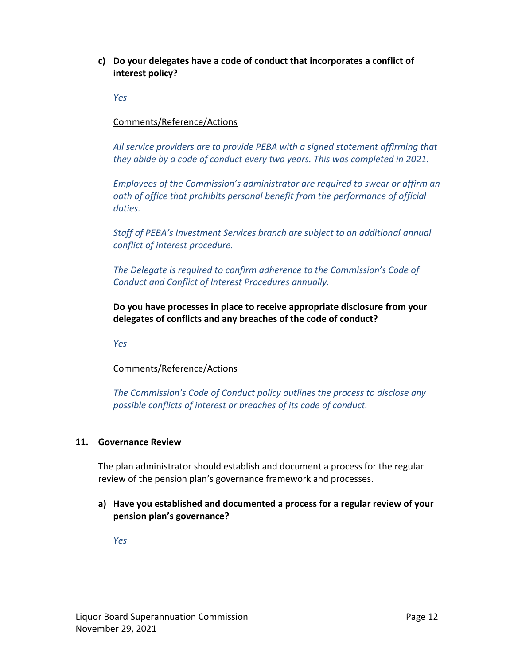**c) Do your delegates have a code of conduct that incorporates a conflict of interest policy?** 

*Yes*

### Comments/Reference/Actions

*All service providers are to provide PEBA with a signed statement affirming that they abide by a code of conduct every two years. This was completed in 2021.*

*Employees of the Commission's administrator are required to swear or affirm an oath of office that prohibits personal benefit from the performance of official duties.*

*Staff of PEBA's Investment Services branch are subject to an additional annual conflict of interest procedure.*

*The Delegate is required to confirm adherence to the Commission's Code of Conduct and Conflict of Interest Procedures annually.* 

**Do you have processes in place to receive appropriate disclosure from your delegates of conflicts and any breaches of the code of conduct?** 

*Yes*

#### Comments/Reference/Actions

*The Commission's Code of Conduct policy outlines the process to disclose any possible conflicts of interest or breaches of its code of conduct.*

#### **11. Governance Review**

The plan administrator should establish and document a process for the regular review of the pension plan's governance framework and processes.

**a) Have you established and documented a process for a regular review of your pension plan's governance?**

*Yes*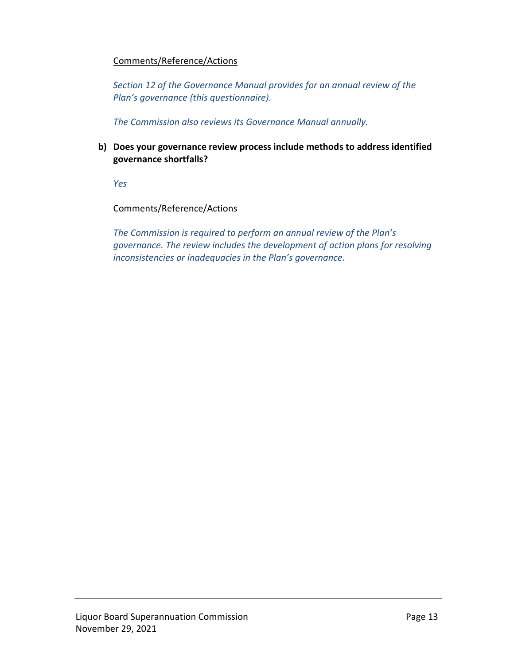#### Comments/Reference/Actions

*Section 12 of the Governance Manual provides for an annual review of the Plan's governance (this questionnaire).* 

*The Commission also reviews its Governance Manual annually.* 

**b) Does your governance review process include methods to address identified governance shortfalls?**

*Yes*

#### Comments/Reference/Actions

*The Commission is required to perform an annual review of the Plan's governance. The review includes the development of action plans for resolving inconsistencies or inadequacies in the Plan's governance.*